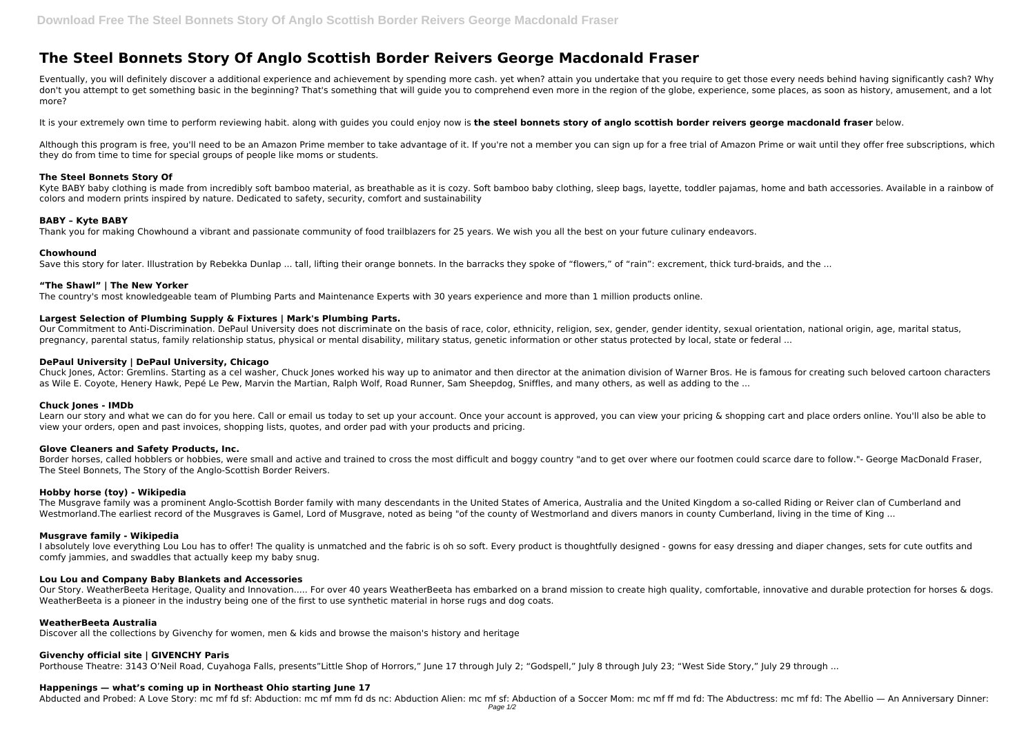# **The Steel Bonnets Story Of Anglo Scottish Border Reivers George Macdonald Fraser**

Eventually, you will definitely discover a additional experience and achievement by spending more cash. yet when? attain you undertake that you require to get those every needs behind having significantly cash? Why don't you attempt to get something basic in the beginning? That's something that will guide you to comprehend even more in the region of the globe, experience, some places, as soon as history, amusement, and a lot more?

It is your extremely own time to perform reviewing habit. along with guides you could enjoy now is **the steel bonnets story of anglo scottish border reivers george macdonald fraser** below.

Kyte BABY baby clothing is made from incredibly soft bamboo material, as breathable as it is cozy. Soft bamboo baby clothing, sleep bags, layette, toddler paiamas, home and bath accessories. Available in a rainbow of colors and modern prints inspired by nature. Dedicated to safety, security, comfort and sustainability

Although this program is free, you'll need to be an Amazon Prime member to take advantage of it. If you're not a member you can sign up for a free trial of Amazon Prime or wait until they offer free subscriptions, which they do from time to time for special groups of people like moms or students.

# **The Steel Bonnets Story Of**

# **BABY – Kyte BABY**

Thank you for making Chowhound a vibrant and passionate community of food trailblazers for 25 years. We wish you all the best on your future culinary endeavors.

Learn our story and what we can do for you here. Call or email us today to set up your account. Once your account is approved, you can view your pricing & shopping cart and place orders online. You'll also be able to view your orders, open and past invoices, shopping lists, quotes, and order pad with your products and pricing.

#### **Chowhound**

Save this story for later. Illustration by Rebekka Dunlap ... tall, lifting their orange bonnets. In the barracks they spoke of "flowers," of "rain": excrement, thick turd-braids, and the ...

Border horses, called hobblers or hobbies, were small and active and trained to cross the most difficult and boggy country "and to get over where our footmen could scarce dare to follow."- George MacDonald Fraser, The Steel Bonnets, The Story of the Anglo-Scottish Border Reivers.

The Musgrave family was a prominent Anglo-Scottish Border family with many descendants in the United States of America, Australia and the United Kingdom a so-called Riding or Reiver clan of Cumberland and Westmorland.The earliest record of the Musgraves is Gamel, Lord of Musgrave, noted as being "of the county of Westmorland and divers manors in county Cumberland, living in the time of King ...

# **"The Shawl" | The New Yorker**

The country's most knowledgeable team of Plumbing Parts and Maintenance Experts with 30 years experience and more than 1 million products online.

# **Largest Selection of Plumbing Supply & Fixtures | Mark's Plumbing Parts.**

Our Commitment to Anti-Discrimination. DePaul University does not discriminate on the basis of race, color, ethnicity, religion, sex, gender, gender identity, sexual orientation, national origin, age, marital status, pregnancy, parental status, family relationship status, physical or mental disability, military status, genetic information or other status protected by local, state or federal ...

I absolutely love everything Lou Lou has to offer! The quality is unmatched and the fabric is oh so soft. Every product is thoughtfully designed - gowns for easy dressing and diaper changes, sets for cute outfits and comfy jammies, and swaddles that actually keep my baby snug.

Our Story. WeatherBeeta Heritage, Quality and Innovation..... For over 40 years WeatherBeeta has embarked on a brand mission to create high quality, comfortable, innovative and durable protection for horses & dogs. WeatherBeeta is a pioneer in the industry being one of the first to use synthetic material in horse rugs and dog coats.

# **DePaul University | DePaul University, Chicago**

Chuck Jones, Actor: Gremlins. Starting as a cel washer, Chuck Jones worked his way up to animator and then director at the animation division of Warner Bros. He is famous for creating such beloved cartoon characters as Wile E. Coyote, Henery Hawk, Pepé Le Pew, Marvin the Martian, Ralph Wolf, Road Runner, Sam Sheepdog, Sniffles, and many others, as well as adding to the ...

# **Chuck Jones - IMDb**

# **Glove Cleaners and Safety Products, Inc.**

# **Hobby horse (toy) - Wikipedia**

# **Musgrave family - Wikipedia**

# **Lou Lou and Company Baby Blankets and Accessories**

#### **WeatherBeeta Australia**

Discover all the collections by Givenchy for women, men & kids and browse the maison's history and heritage

# **Givenchy official site | GIVENCHY Paris**

Porthouse Theatre: 3143 O'Neil Road, Cuyahoga Falls, presents"Little Shop of Horrors," June 17 through July 2; "Godspell," July 8 through July 23; "West Side Story," July 29 through ...

# **Happenings — what's coming up in Northeast Ohio starting June 17**

Abducted and Probed: A Love Story: mc mf fd sf: Abduction: mc mf mm fd ds nc: Abduction Alien: mc mf sf: Abduction of a Soccer Mom: mc mf ff md fd: The Abductress: mc mf fd: The Abellio - An Anniversary Dinner: Page  $1/2$